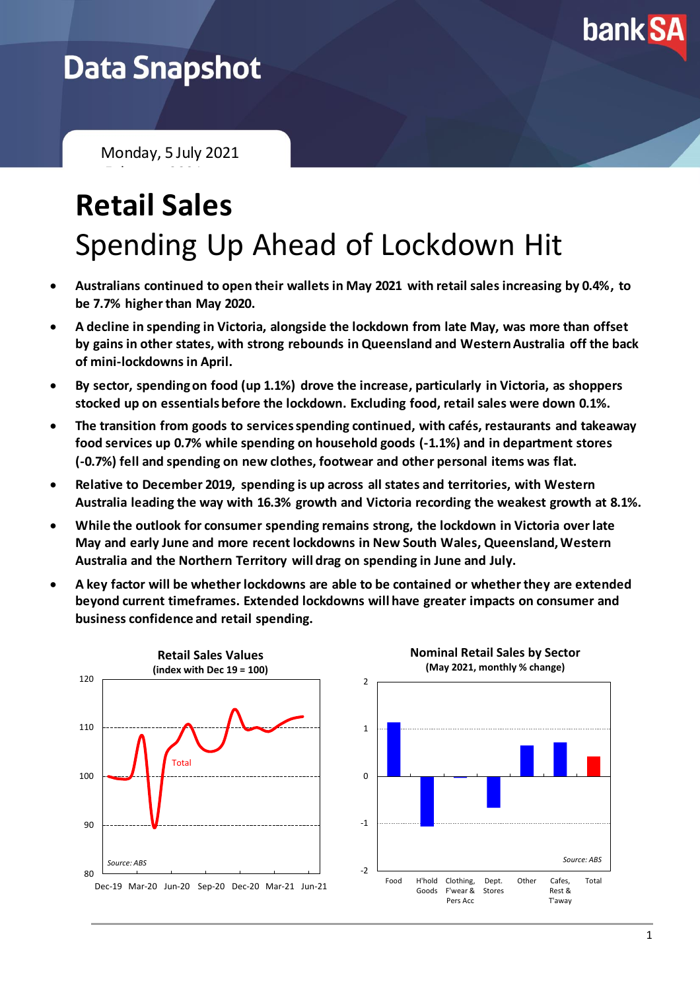

## **Data Snapshot**

Monday, 5 July 2021

February 2021

# **Retail Sales** Spending Up Ahead of Lockdown Hit

- **Australians continued to open their wallets in May 2021 with retail sales increasing by 0.4%, to be 7.7% higher than May 2020.**
- **A decline in spending in Victoria, alongside the lockdown from late May, was more than offset by gains in other states, with strong rebounds in Queensland and Western Australia off the back of mini-lockdowns in April.**
- **By sector, spending on food (up 1.1%) drove the increase, particularly in Victoria, as shoppers stocked up on essentials before the lockdown. Excluding food, retail sales were down 0.1%.**
- **The transition from goods to servicesspending continued, with cafés, restaurants and takeaway food services up 0.7% while spending on household goods (-1.1%) and in department stores (-0.7%) fell and spending on new clothes, footwear and other personal items was flat.**
- **Relative to December 2019, spending is up across all states and territories, with Western Australia leading the way with 16.3% growth and Victoria recording the weakest growth at 8.1%.**
- **While the outlook for consumer spending remains strong, the lockdown in Victoria over late May and early June and more recent lockdowns in New South Wales, Queensland, Western Australia and the Northern Territory will drag on spending in June and July.**
- **A key factor will be whether lockdowns are able to be contained or whether they are extended beyond current timeframes. Extended lockdowns will have greater impacts on consumer and business confidence and retail spending.**



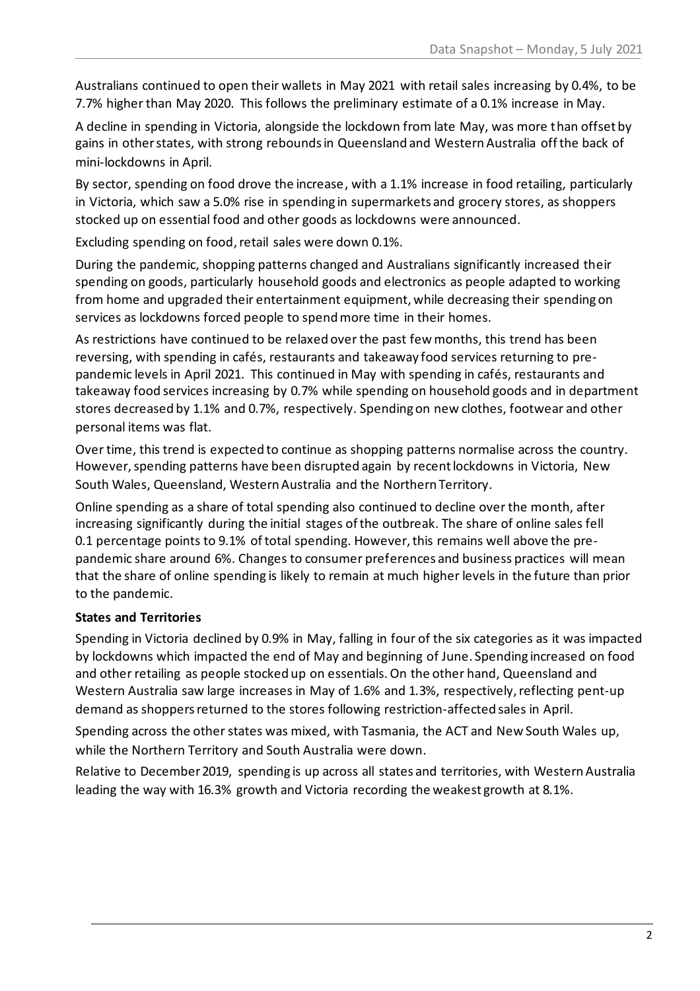Australians continued to open their wallets in May 2021 with retail sales increasing by 0.4%, to be 7.7% higher than May 2020. This follows the preliminary estimate of a 0.1% increase in May.

A decline in spending in Victoria, alongside the lockdown from late May, was more than offset by gains in other states, with strong rebounds in Queensland and Western Australia off the back of mini-lockdowns in April.

By sector, spending on food drove the increase, with a 1.1% increase in food retailing, particularly in Victoria, which saw a 5.0% rise in spending in supermarkets and grocery stores, as shoppers stocked up on essential food and other goods as lockdowns were announced.

Excluding spending on food, retail sales were down 0.1%.

During the pandemic, shopping patterns changed and Australians significantly increased their spending on goods, particularly household goods and electronics as people adapted to working from home and upgraded their entertainment equipment, while decreasing their spending on services as lockdowns forced people to spend more time in their homes.

As restrictions have continued to be relaxed over the past few months, this trend has been reversing, with spending in cafés, restaurants and takeaway food services returning to prepandemic levels in April 2021. This continued in May with spending in cafés, restaurants and takeaway food services increasing by 0.7% while spending on household goods and in department stores decreased by 1.1% and 0.7%, respectively. Spending on new clothes, footwear and other personal items was flat.

Over time, this trend is expected to continue as shopping patterns normalise across the country. However, spending patterns have been disrupted again by recent lockdowns in Victoria, New South Wales, Queensland, Western Australia and the Northern Territory.

Online spending as a share of total spending also continued to decline over the month, after increasing significantly during the initial stages of the outbreak. The share of online sales fell 0.1 percentage points to 9.1% of total spending. However, this remains well above the prepandemic share around 6%. Changes to consumer preferences and business practices will mean that the share of online spending is likely to remain at much higher levels in the future than prior to the pandemic.

#### **States and Territories**

Spending in Victoria declined by 0.9% in May, falling in four of the six categories as it was impacted by lockdowns which impacted the end of May and beginning of June. Spending increased on food and other retailing as people stocked up on essentials. On the other hand, Queensland and Western Australia saw large increases in May of 1.6% and 1.3%, respectively, reflecting pent-up demand as shoppers returned to the stores following restriction-affected sales in April.

Spending across the other states was mixed, with Tasmania, the ACT and New South Wales up, while the Northern Territory and South Australia were down.

Relative to December 2019, spending is up across all states and territories, with Western Australia leading the way with 16.3% growth and Victoria recording the weakest growth at 8.1%.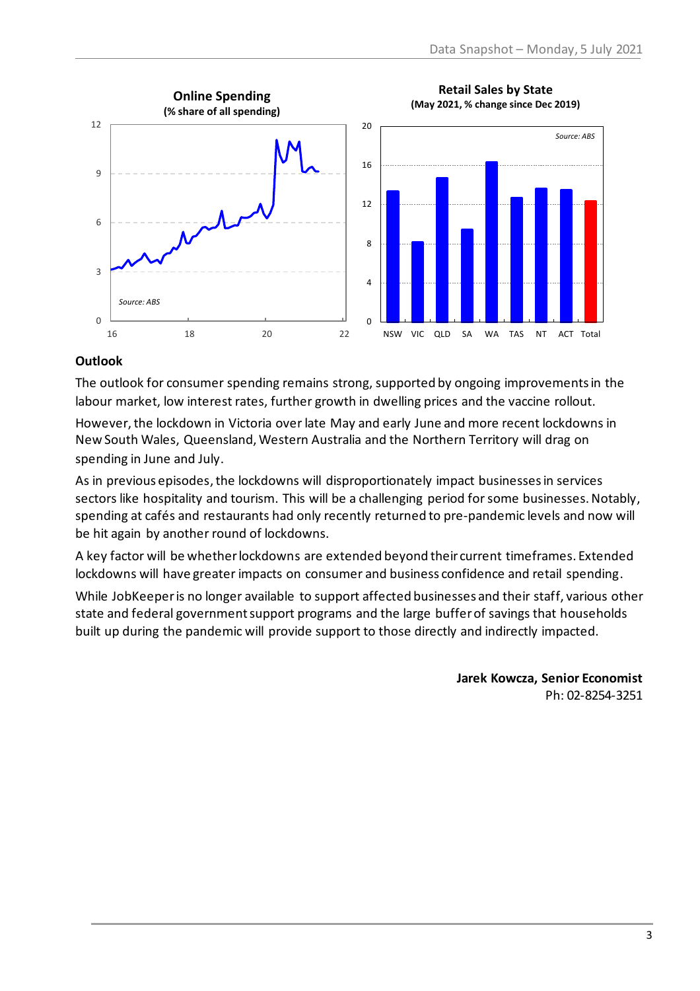

#### **Outlook**

The outlook for consumer spending remains strong, supported by ongoing improvements in the labour market, low interest rates, further growth in dwelling prices and the vaccine rollout.

However, the lockdown in Victoria over late May and early June and more recent lockdowns in New South Wales, Queensland, Western Australia and the Northern Territory will drag on spending in June and July.

As in previous episodes, the lockdowns will disproportionately impact businesses in services sectors like hospitality and tourism. This will be a challenging period for some businesses. Notably, spending at cafés and restaurants had only recently returned to pre-pandemic levels and now will be hit again by another round of lockdowns.

A key factor will be whether lockdowns are extended beyond their current timeframes. Extended lockdowns will have greater impacts on consumer and business confidence and retail spending.

While JobKeeper is no longer available to support affected businesses and their staff, various other state and federal government support programs and the large buffer of savings that households built up during the pandemic will provide support to those directly and indirectly impacted.

> **Jarek Kowcza, Senior Economist** Ph: 02-8254-3251